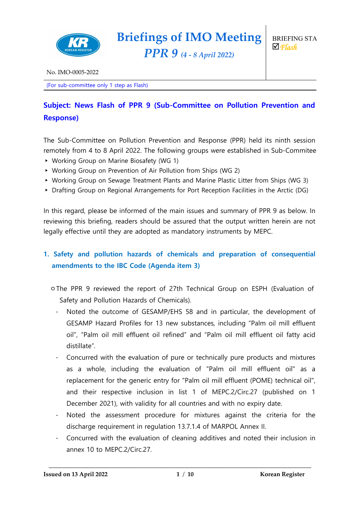

*PPR 9 (4 - <sup>8</sup> April 2022)*

(For sub-committee only 1 step as Flash)

# **Subject: News Flash of PPR 9 (Sub-Committee on Pollution Prevention and Response)**

The Sub-Committee on Pollution Prevention and Response (PPR) held its ninth session remotely from 4 to 8 April 2022. The following groups were established in Sub-Commitee.

- ▸ Working Group on Marine Biosafety (WG 1)
- ▸ Working Group on Prevention of Air Pollution from Ships (WG 2)
- ▸ Working Group on Sewage Treatment Plants and Marine Plastic Litter from Ships (WG 3)
- ▸ Drafting Group on Regional Arrangements for Port Reception Facilities in the Arctic (DG)

In this regard, please be informed of the main issues and summary of PPR 9 as below. In reviewing this briefing, readers should be assured that the output written herein are not legally effective until they are adopted as mandatory instruments by MEPC.

## **1. Safety and pollution hazards of chemicals and preparation of consequential amendments to the IBC Code (Agenda item 3)**

- ㅇThe PPR 9 reviewed the report of 27th Technical Group on ESPH (Evaluation of Safety and Pollution Hazards of Chemicals).
	- Noted the outcome of GESAMP/EHS 58 and in particular, the development of GESAMP Hazard Profiles for 13 new substances, including "Palm oil mill effluent oil", "Palm oil mill effluent oil refined" and "Palm oil mill effluent oil fatty acid distillate".
	- Concurred with the evaluation of pure or technically pure products and mixtures as a whole, including the evaluation of "Palm oil mill effluent oil" as a replacement for the generic entry for "Palm oil mill effluent (POME) technical oil", and their respective inclusion in list 1 of MEPC.2/Circ.27 (published on 1 December 2021), with validity for all countries and with no expiry date.
	- Noted the assessment procedure for mixtures against the criteria for the discharge requirement in regulation 13.7.1.4 of MARPOL Annex II.
	- Concurred with the evaluation of cleaning additives and noted their inclusion in annex 10 to MEPC.2/Circ.27.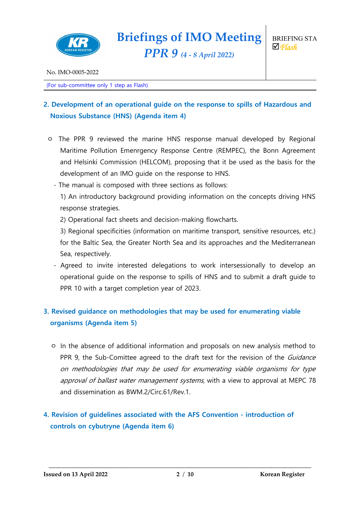

*PPR 9 (4 - <sup>8</sup> April 2022)*

(For sub-committee only 1 step as Flash)

## **2. Development of an operational guide on the response to spills of Hazardous and Noxious Substance (HNS) (Agenda item 4)**

- ㅇ The PPR 9 reviewed the marine HNS response manual developed by Regional Maritime Pollution Emenrgency Response Centre (REMPEC), the Bonn Agreement and Helsinki Commission (HELCOM), proposing that it be used as the basis for the development of an IMO guide on the response to HNS.
	- The manual is composed with three sections as follows:

1) An introductory background providing information on the concepts driving HNS response strategies.

2) Operational fact sheets and decision-making flowcharts.

3) Regional specificities (information on maritime transport, sensitive resources, etc.) for the Baltic Sea, the Greater North Sea and its approaches and the Mediterranean Sea, respectively.

- Agreed to invite interested delegations to work intersessionally to develop an operational guide on the response to spills of HNS and to submit a draft guide to PPR 10 with a target completion year of 2023.

## **3. Revised guidance on methodologies that may be used for enumerating viable organisms (Agenda item 5)**

ㅇ In the absence of additional information and proposals on new analysis method to PPR 9, the Sub-Comittee agreed to the draft text for the revision of the *Guidance* on methodologies that may be used for enumerating viable organisms for type approval of ballast water management systems, with a view to approval at MEPC 78 and dissemination as BWM.2/Circ.61/Rev.1.

## **4. Revision of guidelines associated with the AFS Convention - introduction of controls on cybutryne (Agenda item 6)**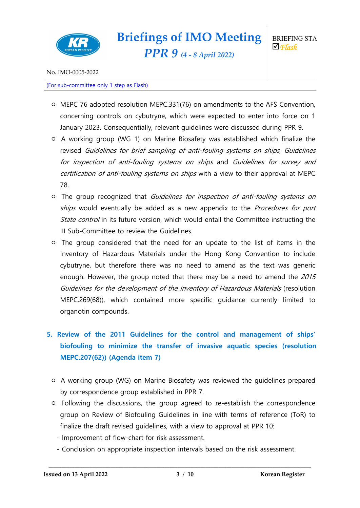

No. IMO-0005-2022

(For sub-committee only 1 step as Flash)

- ㅇ MEPC 76 adopted resolution MEPC.331(76) on amendments to the AFS Convention, concerning controls on cybutryne, which were expected to enter into force on 1 January 2023. Consequentially, relevant guidelines were discussed during PPR 9.
- ㅇ A working group (WG 1) on Marine Biosafety was established which finalize the revised Guidelines for brief sampling of anti-fouling systems on ships, Guidelines for inspection of anti-fouling systems on ships and Guidelines for survey and certification of anti-fouling systems on ships with a view to their approval at MEPC 78.
- ㅇ The group recognized that Guidelines for inspection of anti-fouling systems on ships would eventually be added as a new appendix to the *Procedures for port* State control in its future version, which would entail the Committee instructing the III Sub-Committee to review the Guidelines.
- ㅇ The group considered that the need for an update to the list of items in the Inventory of Hazardous Materials under the Hong Kong Convention to include cybutryne, but therefore there was no need to amend as the text was generic enough. However, the group noted that there may be a need to amend the 2015 Guidelines for the development of the Inventory of Hazardous Materials (resolution MEPC.269(68)), which contained more specific guidance currently limited to organotin compounds.

# **5. Review of the 2011 Guidelines for the control and management of ships' biofouling to minimize the transfer of invasive aquatic species (resolution MEPC.207(62)) (Agenda item 7)**

- ㅇ A working group (WG) on Marine Biosafety was reviewed the guidelines prepared by correspondence group established in PPR 7.
- ㅇ Following the discussions, the group agreed to re-establish the correspondence group on Review of Biofouling Guidelines in line with terms of reference (ToR) to finalize the draft revised guidelines, with a view to approval at PPR 10:
	- Improvement of flow-chart for risk assessment.
	- Conclusion on appropriate inspection intervals based on the risk assessment.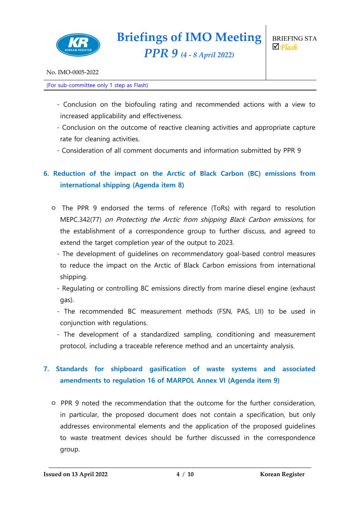

#### (For sub-committee only 1 step as Flash)

- Conclusion on the biofouling rating and recommended actions with a view to increased applicability and effectiveness.
- Conclusion on the outcome of reactive cleaning activities and appropriate capture rate for cleaning activities.
- Consideration of all comment documents and information submitted by PPR 9

## **6. Reduction of the impact on the Arctic of Black Carbon (BC) emissions from international shipping (Agenda item 8)**

- ㅇ The PPR 9 endorsed the terms of reference (ToRs) with regard to resolution MEPC.342(77) on Protecting the Arctic from shipping Black Carbon emissions, for the establishment of a correspondence group to further discuss, and agreed to extend the target completion year of the output to 2023.
	- The development of guidelines on recommendatory goal-based control measures to reduce the impact on the Arctic of Black Carbon emissions from international shipping.
	- Regulating or controlling BC emissions directly from marine diesel engine (exhaust gas).
	- The recommended BC measurement methods (FSN, PAS, LII) to be used in conjunction with regulations.
	- The development of a standardized sampling, conditioning and measurement protocol, including a traceable reference method and an uncertainty analysis.

## **7. Standards for shipboard gasification of waste systems and associated amendments to regulation 16 of MARPOL Annex VI (Agenda item 9)**

ㅇ PPR 9 noted the recommendation that the outcome for the further consideration, in particular, the proposed document does not contain a specification, but only addresses environmental elements and the application of the proposed guidelines to waste treatment devices should be further discussed in the correspondence group.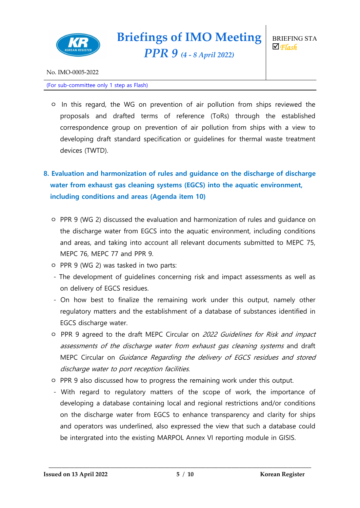

*PPR 9 (4 - <sup>8</sup> April 2022)*

No. IMO-0005-2022

#### (For sub-committee only 1 step as Flash)

ㅇ In this regard, the WG on prevention of air pollution from ships reviewed the proposals and drafted terms of reference (ToRs) through the established correspondence group on prevention of air pollution from ships with a view to developing draft standard specification or guidelines for thermal waste treatment devices (TWTD).

# **8. Evaluation and harmonization of rules and guidance on the discharge of discharge water from exhaust gas cleaning systems (EGCS) into the aquatic environment, including conditions and areas (Agenda item 10)**

- ㅇ PPR 9 (WG 2) discussed the evaluation and harmonization of rules and guidance on the discharge water from EGCS into the aquatic environment, including conditions and areas, and taking into account all relevant documents submitted to MEPC 75, MEPC 76, MEPC 77 and PPR 9.
- ㅇ PPR 9 (WG 2) was tasked in two parts:
- The development of guidelines concerning risk and impact assessments as well as on delivery of EGCS residues.
- On how best to finalize the remaining work under this output, namely other regulatory matters and the establishment of a database of substances identified in EGCS discharge water.
- ㅇ PPR 9 agreed to the draft MEPC Circular on 2022 Guidelines for Risk and impact assessments of the discharge water from exhaust gas cleaning systems and draft MEPC Circular on Guidance Regarding the delivery of EGCS residues and stored discharge water to port reception facilities.
- ㅇ PPR 9 also discussed how to progress the remaining work under this output.
- With regard to regulatory matters of the scope of work, the importance of developing a database containing local and regional restrictions and/or conditions on the discharge water from EGCS to enhance transparency and clarity for ships and operators was underlined, also expressed the view that such a database could be intergrated into the existing MARPOL Annex VI reporting module in GISIS.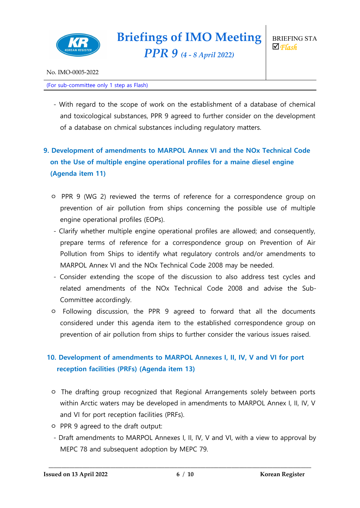

No. IMO-0005-2022

#### (For sub-committee only 1 step as Flash)

- With regard to the scope of work on the establishment of a database of chemical and toxicological substances, PPR 9 agreed to further consider on the development of a database on chmical substances including regulatory matters.

# **9. Development of amendments to MARPOL Annex VI and the NOx Technical Code on the Use of multiple engine operational profiles for a maine diesel engine (Agenda item 11)**

- ㅇ PPR 9 (WG 2) reviewed the terms of reference for a correspondence group on prevention of air pollution from ships concerning the possible use of multiple engine operational profiles (EOPs).
- Clarify whether multiple engine operational profiles are allowed; and consequently, prepare terms of reference for a correspondence group on Prevention of Air Pollution from Ships to identify what regulatory controls and/or amendments to MARPOL Annex VI and the NOx Technical Code 2008 may be needed.
- Consider extending the scope of the discussion to also address test cycles and related amendments of the NOx Technical Code 2008 and advise the Sub-Committee accordingly.
- ㅇ Following discussion, the PPR 9 agreed to forward that all the documents considered under this agenda item to the established correspondence group on prevention of air pollution from ships to further consider the various issues raised.

## **10. Development of amendments to MARPOL Annexes I, II, IV, V and VI for port reception facilities (PRFs) (Agenda item 13)**

- ㅇ The drafting group recognized that Regional Arrangements solely between ports within Arctic waters may be developed in amendments to MARPOL Annex I, II, IV, V and VI for port reception facilities (PRFs).
- ㅇ PPR 9 agreed to the draft output:
- Draft amendments to MARPOL Annexes I, II, IV, V and VI, with a view to approval by MEPC 78 and subsequent adoption by MEPC 79.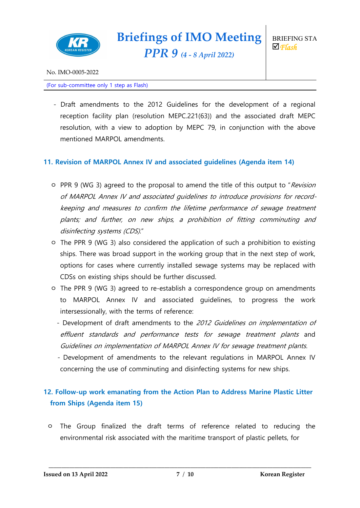

No. IMO-0005-2022

#### (For sub-committee only 1 step as Flash)

- Draft amendments to the 2012 Guidelines for the development of a regional reception facility plan (resolution MEPC.221(63)) and the associated draft MEPC resolution, with a view to adoption by MEPC 79, in conjunction with the above mentioned MARPOL amendments.

#### **11. Revision of MARPOL Annex IV and associated guidelines (Agenda item 14)**

- o PPR 9 (WG 3) agreed to the proposal to amend the title of this output to "Revision of MARPOL Annex IV and associated guidelines to introduce provisions for recordkeeping and measures to confirm the lifetime performance of sewage treatment plants; and further, on new ships, <sup>a</sup> prohibition of fitting comminuting and disinfecting systems (CDS)."
- ㅇ The PPR 9 (WG 3) also considered the application of such a prohibition to existing ships. There was broad support in the working group that in the next step of work, options for cases where currently installed sewage systems may be replaced with CDSs on existing ships should be further discussed.
- ㅇ The PPR 9 (WG 3) agreed to re-establish a correspondence group on amendments to MARPOL Annex IV and associated guidelines, to progress the work intersessionally, with the terms of reference:
	- Development of draft amendments to the 2012 Guidelines on implementation of effluent standards and performance tests for sewage treatment plants and Guidelines on implementation of MARPOL Annex IV for sewage treatment plants.
	- Development of amendments to the relevant regulations in MARPOL Annex IV concerning the use of comminuting and disinfecting systems for new ships.

#### **12. Follow-up work emanating from the Action Plan to Address Marine Plastic Litter from Ships (Agenda item 15)**

ㅇ The Group finalized the draft terms of reference related to reducing the environmental risk associated with the maritime transport of plastic pellets, for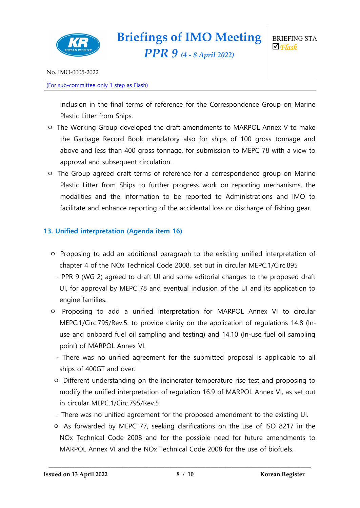

*PPR 9 (4 - <sup>8</sup> April 2022)*

(For sub-committee only 1 step as Flash)

inclusion in the final terms of reference for the Correspondence Group on Marine Plastic Litter from Ships.

- ㅇ The Working Group developed the draft amendments to MARPOL Annex V to make the Garbage Record Book mandatory also for ships of 100 gross tonnage and above and less than 400 gross tonnage, for submission to MEPC 78 with a view to approval and subsequent circulation.
- ㅇ The Group agreed draft terms of reference for a correspondence group on Marine Plastic Litter from Ships to further progress work on reporting mechanisms, the modalities and the information to be reported to Administrations and IMO to facilitate and enhance reporting of the accidental loss or discharge of fishing gear.

#### **13. Unified interpretation (Agenda item 16)**

- ㅇ Proposing to add an additional paragraph to the existing unified interpretation of chapter 4 of the NOx Technical Code 2008, set out in circular MEPC.1/Circ.895
	- PPR 9 (WG 2) agreed to draft UI and some editorial changes to the proposed draft UI, for approval by MEPC 78 and eventual inclusion of the UI and its application to engine families.
- ㅇ Proposing to add a unified interpretation for MARPOL Annex VI to circular MEPC.1/Circ.795/Rev.5. to provide clarity on the application of regulations 14.8 (Inuse and onboard fuel oil sampling and testing) and 14.10 (In-use fuel oil sampling point) of MARPOL Annex VI.
	- There was no unified agreement for the submitted proposal is applicable to all ships of 400GT and over.
	- ㅇ Different understanding on the incinerator temperature rise test and proposing to modify the unified interpretation of regulation 16.9 of MARPOL Annex VI, as set out in circular MEPC.1/Circ.795/Rev.5
	- There was no unified agreement for the proposed amendment to the existing UI.
	- ㅇ As forwarded by MEPC 77, seeking clarifications on the use of ISO 8217 in the NOx Technical Code 2008 and for the possible need for future amendments to MARPOL Annex VI and the NOx Technical Code 2008 for the use of biofuels.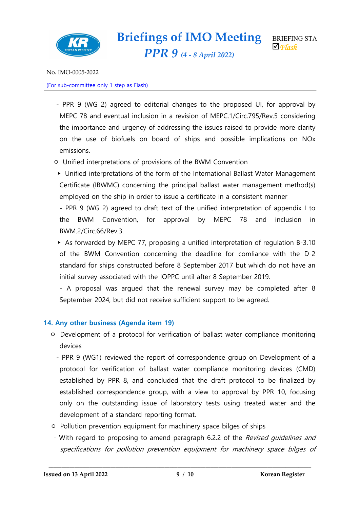

*PPR 9 (4 - <sup>8</sup> April 2022)*

No. IMO-0005-2022

#### (For sub-committee only 1 step as Flash)

- PPR 9 (WG 2) agreed to editorial changes to the proposed UI, for approval by MEPC 78 and eventual inclusion in a revision of MEPC.1/Circ.795/Rev.5 considering the importance and urgency of addressing the issues raised to provide more clarity on the use of biofuels on board of ships and possible implications on NOx emissions.
- ㅇ Unified interpretations of provisions of the BWM Convention
- ▸ Unified interpretations of the form of the International Ballast Water Management Certificate (IBWMC) concerning the principal ballast water management method(s) employed on the ship in order to issue a certificate in a consistent manner
- PPR 9 (WG 2) agreed to draft text of the unified interpretation of appendix I to the BWM Convention, for approval by MEPC 78 and inclusion in BWM.2/Circ.66/Rev.3.
- ▸ As forwarded by MEPC 77, proposing a unified interpretation of regulation B-3.10 of the BWM Convention concerning the deadline for comliance with the D-2 standard for ships constructed before 8 September 2017 but which do not have an initial survey associated with the IOPPC until after 8 September 2019.
- A proposal was argued that the renewal survey may be completed after 8 September 2024, but did not receive sufficient support to be agreed.

#### **14. Any other business (Agenda item 19)**

- ㅇ Development of a protocol for verification of ballast water compliance monitoring devices
	- PPR 9 (WG1) reviewed the report of correspondence group on Development of a protocol for verification of ballast water compliance monitoring devices (CMD) established by PPR 8, and concluded that the draft protocol to be finalized by established correspondence group, with a view to approval by PPR 10, focusing only on the outstanding issue of laboratory tests using treated water and the development of a standard reporting format.
- ㅇ Pollution prevention equipment for machinery space bilges of ships
- With regard to proposing to amend paragraph 6.2.2 of the Revised quidelines and specifications for pollution prevention equipment for machinery space bilges of